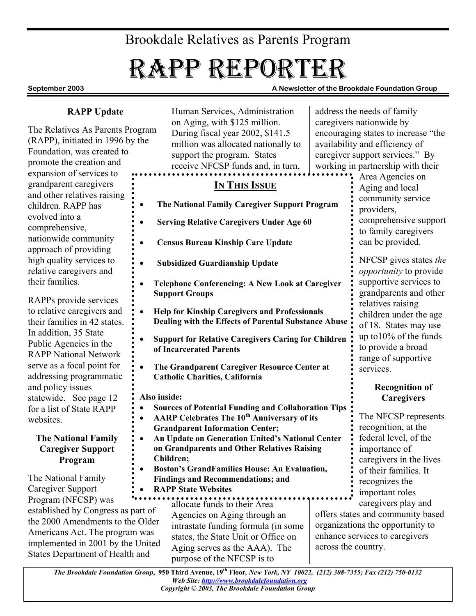## Brookdale Relatives as Parents Program

# RAPP REPORTER

**September 2003 A Newsletter of the Brookdale Foundation Group** 

#### **RAPP Update**

The Relatives As Parents Program (RAPP), initiated in 1996 by the Foundation, was created to promote the creation and expansion of services to grandparent caregivers and other relatives raising children. RAPP has evolved into a comprehensive, nationwide community approach of providing high quality services to relative caregivers and their families.

RAPPs provide services to relative caregivers and their families in 42 states. In addition, 35 State Public Agencies in the RAPP National Network serve as a focal point for addressing programmatic and policy issues statewide. See page 12 for a list of State RAPP websites

#### **The National Family Caregiver Support Program**

The National Family Caregiver Support Program (NFCSP) was established by Congress as part of the 2000 Amendments to the Older Americans Act. The program was implemented in 2001 by the United States Department of Health and

Human Services, Administration on Aging, with \$125 million. During fiscal year 2002, \$141.5 million was allocated nationally to support the program. States receive NFCSP funds and, in turn,

### **IN THIS ISSUE**

- **The National Family Caregiver Support Program** 
	- **Serving Relative Caregivers Under Age 60**
- **Census Bureau Kinship Care Update**
- **Subsidized Guardianship Update**
- **Telephone Conferencing: A New Look at Caregiver Support Groups**
- **Help for Kinship Caregivers and Professionals Dealing with the Effects of Parental Substance Abuse**
- **Support for Relative Caregivers Caring for Children of Incarcerated Parents**
- **The Grandparent Caregiver Resource Center at Catholic Charities, California**

**Also inside:** 

- **Sources of Potential Funding and Collaboration Tips** 
	- **AARP Celebrates The 10th Anniversary of its Grandparent Information Center;**
- **An Update on Generation United's National Center on Grandparents and Other Relatives Raising Children;**
- **Boston's GrandFamilies House: An Evaluation, Findings and Recommendations; and**
- **RAPP State Websites**

allocate funds to their Area Agencies on Aging through an intrastate funding formula (in some states, the State Unit or Office on Aging serves as the AAA). The purpose of the NFCSP is to

address the needs of family caregivers nationwide by encouraging states to increase "the availability and efficiency of caregiver support services." By working in partnership with their

Area Agencies on Aging and local community service providers, comprehensive support to family caregivers can be provided.

NFCSP gives states *the opportunity* to provide supportive services to grandparents and other relatives raising children under the age of 18. States may use up to10% of the funds to provide a broad range of supportive services. 

#### **Recognition of Caregivers**

The NFCSP represents recognition, at the federal level, of the importance of caregivers in the lives of their families. It recognizes the important roles caregivers play and

offers states and community based organizations the opportunity to enhance services to caregivers across the country.

*The Brookdale Foundation Group***, 950 Third Avenue, 19th Floor***, New York, NY 10022, (212) 308-7355; Fax (212) 750-0132 Web Site: http://www.brookdalefoundation.org Copyright © 2003, The Brookdale Foundation Group*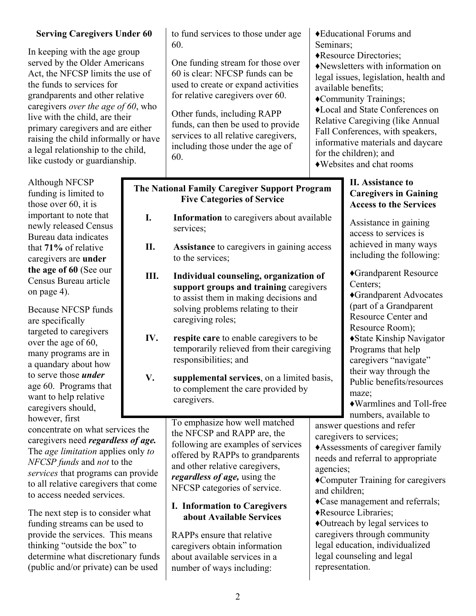#### **Serving Caregivers Under 60**

In keeping with the age group served by the Older Americans Act, the NFCSP limits the use of the funds to services for grandparents and other relative caregivers *over the age of 60*, who live with the child, are their primary caregivers and are either raising the child informally or have a legal relationship to the child, like custody or guardianship.

Although NFCSP funding is limited to those over 60, it is important to note that newly released Census Bureau data indicates that **71%** of relative caregivers are **under the age of 60** (See our Census Bureau article on page 4).

Because NFCSP funds are specifically targeted to caregivers over the age of 60, many programs are in a quandary about how to serve those *under* age 60. Programs that want to help relative caregivers should, however, first

concentrate on what services the caregivers need *regardless of age.* The *age limitation* applies only *to NFCSP funds* and *not* to the *services* that programs can provide to all relative caregivers that come to access needed services.

The next step is to consider what funding streams can be used to provide the services. This means thinking "outside the box" to determine what discretionary funds (public and/or private) can be used

to fund services to those under age 60.

One funding stream for those over 60 is clear: NFCSP funds can be used to create or expand activities for relative caregivers over 60.

Other funds, including RAPP funds, can then be used to provide services to all relative caregivers, including those under the age of 60.

#### **The National Family Caregiver Support Program Five Categories of Service**

- **I. Information** to caregivers about available services;
- **II. Assistance** to caregivers in gaining access to the services;
- **III. Individual counseling, organization of support groups and training** caregivers to assist them in making decisions and solving problems relating to their caregiving roles;
- **IV. respite care** to enable caregivers to be temporarily relieved from their caregiving responsibilities; and
- **V. supplemental services**, on a limited basis, to complement the care provided by caregivers.

To emphasize how well matched the NFCSP and RAPP are, the following are examples of services offered by RAPPs to grandparents and other relative caregivers, *regardless of age,* using the NFCSP categories of service.

#### **I. Information to Caregivers about Available Services**

RAPPs ensure that relative caregivers obtain information about available services in a number of ways including:

Seminars; ♦Resource Directories; ♦Newsletters with information on legal issues, legislation, health and available benefits; ♦Community Trainings; ♦Local and State Conferences on Relative Caregiving (like Annual Fall Conferences, with speakers, informative materials and daycare for the children); and ♦Websites and chat rooms

♦Educational Forums and

#### **II. Assistance to Caregivers in Gaining Access to the Services**

Assistance in gaining access to services is achieved in many ways including the following:

♦Grandparent Resource Centers<sup>;</sup>

♦Grandparent Advocates (part of a Grandparent Resource Center and Resource Room); ♦State Kinship Navigator Programs that help caregivers "navigate"

their way through the Public benefits/resources maze;

♦Warmlines and Toll-free numbers, available to

answer questions and refer caregivers to services;

♦Assessments of caregiver family needs and referral to appropriate agencies;

♦Computer Training for caregivers and children;

♦Case management and referrals; ♦Resource Libraries;

♦Outreach by legal services to caregivers through community legal education, individualized legal counseling and legal representation.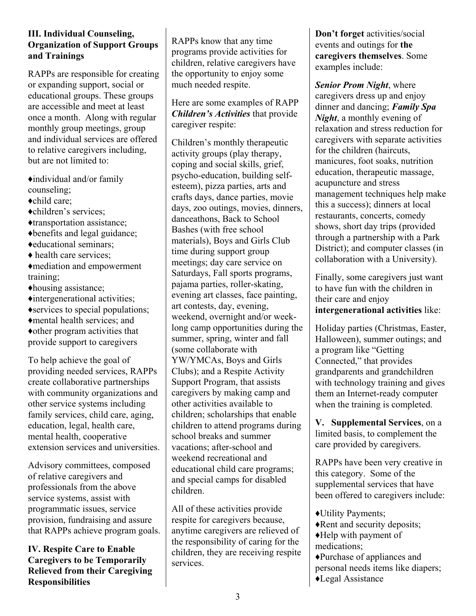#### **III. Individual Counseling, Organization of Support Groups and Trainings**

RAPPs are responsible for creating or expanding support, social or educational groups. These groups are accessible and meet at least once a month. Along with regular monthly group meetings, group and individual services are offered to relative caregivers including, but are not limited to:

♦individual and/or family counseling; ♦child care; ♦children's services; ♦transportation assistance; ♦benefits and legal guidance; ♦educational seminars; ♦ health care services; ♦mediation and empowerment training; ♦housing assistance; ♦intergenerational activities; ♦services to special populations; ♦mental health services; and ♦other program activities that provide support to caregivers

To help achieve the goal of providing needed services, RAPPs create collaborative partnerships with community organizations and other service systems including family services, child care, aging, education, legal, health care, mental health, cooperative extension services and universities.

Advisory committees, composed of relative caregivers and professionals from the above service systems, assist with programmatic issues, service provision, fundraising and assure that RAPPs achieve program goals.

**IV. Respite Care to Enable Caregivers to be Temporarily Relieved from their Caregiving Responsibilities** 

RAPPs know that any time programs provide activities for children, relative caregivers have the opportunity to enjoy some much needed respite.

Here are some examples of RAPP *Children's Activities* that provide caregiver respite:

Children's monthly therapeutic activity groups (play therapy, coping and social skills, grief, psycho-education, building selfesteem), pizza parties, arts and crafts days, dance parties, movie days, zoo outings, movies, dinners, danceathons, Back to School Bashes (with free school materials), Boys and Girls Club time during support group meetings; day care service on Saturdays, Fall sports programs, pajama parties, roller-skating, evening art classes, face painting, art contests, day, evening, weekend, overnight and/or weeklong camp opportunities during the summer, spring, winter and fall (some collaborate with YW/YMCAs, Boys and Girls Clubs); and a Respite Activity Support Program, that assists caregivers by making camp and other activities available to children; scholarships that enable children to attend programs during school breaks and summer vacations; after-school and weekend recreational and educational child care programs; and special camps for disabled children.

All of these activities provide respite for caregivers because, anytime caregivers are relieved of the responsibility of caring for the children, they are receiving respite services.

**Don't forget** activities/social events and outings for **the caregivers themselves**. Some examples include:

*Senior Prom Night*, where caregivers dress up and enjoy dinner and dancing; *Family Spa Night*, a monthly evening of relaxation and stress reduction for caregivers with separate activities for the children (haircuts, manicures, foot soaks, nutrition education, therapeutic massage, acupuncture and stress management techniques help make this a success); dinners at local restaurants, concerts, comedy shows, short day trips (provided through a partnership with a Park District); and computer classes (in collaboration with a University).

Finally, some caregivers just want to have fun with the children in their care and enjoy **intergenerational activities** like:

Holiday parties (Christmas, Easter, Halloween), summer outings; and a program like "Getting Connected," that provides grandparents and grandchildren with technology training and gives them an Internet-ready computer when the training is completed.

**V. Supplemental Services**, on a limited basis, to complement the care provided by caregivers.

RAPPs have been very creative in this category. Some of the supplemental services that have been offered to caregivers include:

♦Utility Payments; ♦Rent and security deposits; ♦Help with payment of medications; ♦Purchase of appliances and personal needs items like diapers; ♦Legal Assistance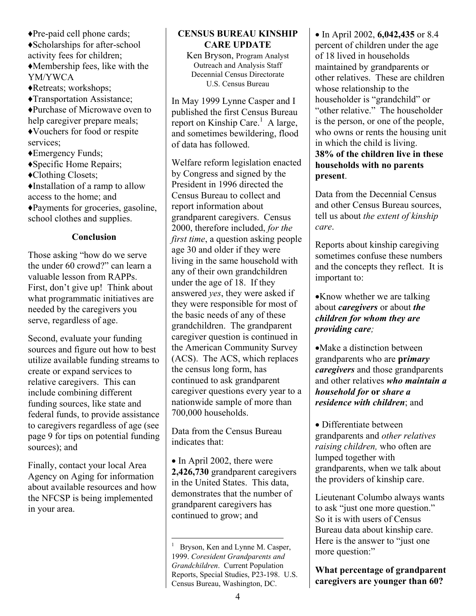♦Pre-paid cell phone cards; ♦Scholarships for after-school activity fees for children; ♦Membership fees, like with the YM/YWCA ♦Retreats; workshops; ♦Transportation Assistance; ♦Purchase of Microwave oven to help caregiver prepare meals; ♦Vouchers for food or respite services; ♦Emergency Funds; ♦Specific Home Repairs; ♦Clothing Closets; ♦Installation of a ramp to allow access to the home; and ♦Payments for groceries, gasoline, school clothes and supplies.

#### **Conclusion**

Those asking "how do we serve the under 60 crowd?" can learn a valuable lesson from RAPPs. First, don't give up! Think about what programmatic initiatives are needed by the caregivers you serve, regardless of age.

Second, evaluate your funding sources and figure out how to best utilize available funding streams to create or expand services to relative caregivers. This can include combining different funding sources, like state and federal funds, to provide assistance to caregivers regardless of age (see page 9 for tips on potential funding sources); and

Finally, contact your local Area Agency on Aging for information about available resources and how the NFCSP is being implemented in your area.

#### **CENSUS BUREAU KINSHIP CARE UPDATE**

Ken Bryson, Program Analyst Outreach and Analysis Staff Decennial Census Directorate U.S. Census Bureau

In May 1999 Lynne Casper and I published the first Census Bureau report on Kinship Care.<sup>1</sup> A large, and sometimes bewildering, flood of data has followed.

Welfare reform legislation enacted by Congress and signed by the President in 1996 directed the Census Bureau to collect and report information about grandparent caregivers. Census 2000, therefore included, *for the first time*, a question asking people age 30 and older if they were living in the same household with any of their own grandchildren under the age of 18. If they answered *yes*, they were asked if they were responsible for most of the basic needs of any of these grandchildren. The grandparent caregiver question is continued in the American Community Survey (ACS). The ACS, which replaces the census long form, has continued to ask grandparent caregiver questions every year to a nationwide sample of more than 700,000 households.

Data from the Census Bureau indicates that:

• In April 2002, there were **2,426,730** grandparent caregivers in the United States. This data, demonstrates that the number of grandparent caregivers has continued to grow; and

<u>.</u>

• In April 2002, **6,042,435** or 8.4 percent of children under the age of 18 lived in households maintained by grandparents or other relatives. These are children whose relationship to the householder is "grandchild" or "other relative." The householder is the person, or one of the people, who owns or rents the housing unit in which the child is living. **38% of the children live in these households with no parents present**.

Data from the Decennial Census and other Census Bureau sources, tell us about *the extent of kinship care*.

Reports about kinship caregiving sometimes confuse these numbers and the concepts they reflect. It is important to:

•Know whether we are talking about *caregivers* or about *the children for whom they are providing care;* 

•Make a distinction between grandparents who are **pr***imary caregivers* and those grandparents and other relatives *who maintain a household for* **or** *share a residence with children*; and

• Differentiate between grandparents and *other relatives raising children,* who often are lumped together with grandparents, when we talk about the providers of kinship care.

Lieutenant Columbo always wants to ask "just one more question." So it is with users of Census Bureau data about kinship care. Here is the answer to "just one more question:"

**What percentage of grandparent caregivers are younger than 60?**

<sup>1</sup> Bryson, Ken and Lynne M. Casper, 1999. *Coresident Grandparents and Grandchildren*. Current Population Reports, Special Studies, P23-198. U.S. Census Bureau, Washington, DC.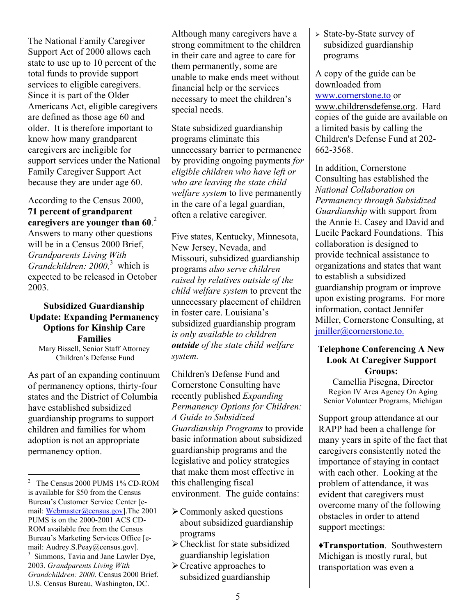The National Family Caregiver Support Act of 2000 allows each state to use up to 10 percent of the total funds to provide support services to eligible caregivers. Since it is part of the Older Americans Act, eligible caregivers are defined as those age 60 and older. It is therefore important to know how many grandparent caregivers are ineligible for support services under the National Family Caregiver Support Act because they are under age 60.

According to the Census 2000, **71 percent of grandparent caregivers are younger than 60**. 2 Answers to many other questions will be in a Census 2000 Brief, *Grandparents Living With Grandchildren: 2000,*<sup>3</sup> which is expected to be released in October 2003.

#### **Subsidized Guardianship Update: Expanding Permanency Options for Kinship Care Families**  Mary Bissell, Senior Staff Attorney Children's Defense Fund

As part of an expanding continuum of permanency options, thirty-four states and the District of Columbia have established subsidized guardianship programs to support children and families for whom adoption is not an appropriate permanency option.

Although many caregivers have a strong commitment to the children in their care and agree to care for them permanently, some are unable to make ends meet without financial help or the services necessary to meet the children's special needs.

State subsidized guardianship programs eliminate this unnecessary barrier to permanence by providing ongoing payments *for eligible children who have left or who are leaving the state child welfare system* to live permanently in the care of a legal guardian, often a relative caregiver.

Five states, Kentucky, Minnesota, New Jersey, Nevada, and Missouri, subsidized guardianship programs *also serve children raised by relatives outside of the child welfare system* to prevent the unnecessary placement of children in foster care. Louisiana's subsidized guardianship program *is only available to children outside of the state child welfare system.* 

Children's Defense Fund and Cornerstone Consulting have recently published *Expanding Permanency Options for Children: A Guide to Subsidized Guardianship Programs* to provide basic information about subsidized guardianship programs and the legislative and policy strategies that make them most effective in this challenging fiscal environment. The guide contains:

- $\geq$  Commonly asked questions about subsidized guardianship programs
- $\triangleright$  Checklist for state subsidized guardianship legislation
- $\triangleright$  Creative approaches to subsidized guardianship

<sup>¾</sup> State-by-State survey of subsidized guardianship programs

A copy of the guide can be downloaded from www.cornerstone.to or www.childrensdefense.org. Hard copies of the guide are available on a limited basis by calling the Children's Defense Fund at 202- 662-3568.

In addition, Cornerstone Consulting has established the *National Collaboration on Permanency through Subsidized Guardianship* with support from the Annie E. Casey and David and Lucile Packard Foundations. This collaboration is designed to provide technical assistance to organizations and states that want to establish a subsidized guardianship program or improve upon existing programs. For more information, contact Jennifer Miller, Cornerstone Consulting, at jmiller@cornerstone.to.

#### **Telephone Conferencing A New Look At Caregiver Support Groups:**

Camellia Pisegna, Director Region IV Area Agency On Aging Senior Volunteer Programs, Michigan

Support group attendance at our RAPP had been a challenge for many years in spite of the fact that caregivers consistently noted the importance of staying in contact with each other. Looking at the problem of attendance, it was evident that caregivers must overcome many of the following obstacles in order to attend support meetings:

♦**Transportation**. Southwestern Michigan is mostly rural, but transportation was even a

 $\overline{a}$ 2 The Census 2000 PUMS 1% CD-ROM is available for \$50 from the Census Bureau's Customer Service Center [email: Webmaster@census.gov].The 2001 PUMS is on the 2000-2001 ACS CD-ROM available free from the Census Bureau's Marketing Services Office [email: Audrey.S.Peay@census.gov]. 3 Simmons, Tavia and Jane Lawler Dye, 2003. *Grandparents Living With Grandchildren: 2000*. Census 2000 Brief. U.S. Census Bureau, Washington, DC.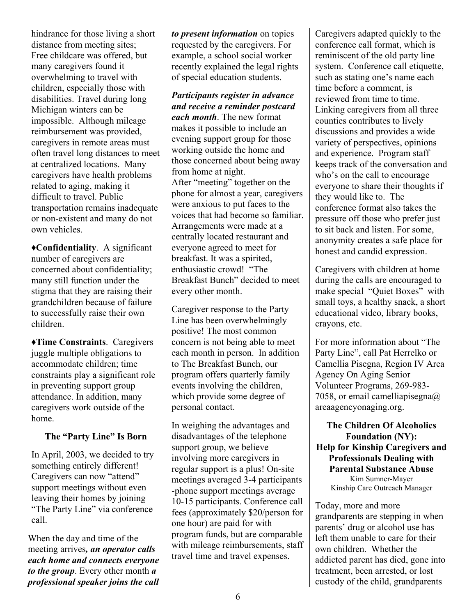hindrance for those living a short distance from meeting sites; Free childcare was offered, but many caregivers found it overwhelming to travel with children, especially those with disabilities. Travel during long Michigan winters can be impossible. Although mileage reimbursement was provided, caregivers in remote areas must often travel long distances to meet at centralized locations. Many caregivers have health problems related to aging, making it difficult to travel. Public transportation remains inadequate or non-existent and many do not own vehicles.

♦**Confidentiality**. A significant number of caregivers are concerned about confidentiality; many still function under the stigma that they are raising their grandchildren because of failure to successfully raise their own children.

♦**Time Constraints**. Caregivers juggle multiple obligations to accommodate children; time constraints play a significant role in preventing support group attendance. In addition, many caregivers work outside of the home.

#### **The "Party Line" Is Born**

In April, 2003, we decided to try something entirely different! Caregivers can now "attend" support meetings without even leaving their homes by joining "The Party Line" via conference call.

When the day and time of the meeting arrives*, an operator calls each home and connects everyone to the group*. Every other month *a professional speaker joins the call*  *to present information* on topics requested by the caregivers. For example, a school social worker recently explained the legal rights of special education students.

*Participants register in advance and receive a reminder postcard* 

*each month*. The new format makes it possible to include an evening support group for those working outside the home and those concerned about being away from home at night. After "meeting" together on the phone for almost a year, caregivers were anxious to put faces to the voices that had become so familiar. Arrangements were made at a centrally located restaurant and everyone agreed to meet for breakfast. It was a spirited, enthusiastic crowd! "The Breakfast Bunch" decided to meet every other month.

Caregiver response to the Party Line has been overwhelmingly positive! The most common concern is not being able to meet each month in person. In addition to The Breakfast Bunch, our program offers quarterly family events involving the children, which provide some degree of personal contact.

In weighing the advantages and disadvantages of the telephone support group, we believe involving more caregivers in regular support is a plus! On-site meetings averaged 3-4 participants -phone support meetings average 10-15 participants. Conference call fees (approximately \$20/person for one hour) are paid for with program funds, but are comparable with mileage reimbursements, staff travel time and travel expenses.

Caregivers adapted quickly to the conference call format, which is reminiscent of the old party line system. Conference call etiquette, such as stating one's name each time before a comment, is reviewed from time to time. Linking caregivers from all three counties contributes to lively discussions and provides a wide variety of perspectives, opinions and experience. Program staff keeps track of the conversation and who's on the call to encourage everyone to share their thoughts if they would like to. The conference format also takes the pressure off those who prefer just to sit back and listen. For some, anonymity creates a safe place for honest and candid expression.

Caregivers with children at home during the calls are encouraged to make special "Quiet Boxes" with small toys, a healthy snack, a short educational video, library books, crayons, etc.

For more information about "The Party Line", call Pat Herrelko or Camellia Pisegna, Region IV Area Agency On Aging Senior Volunteer Programs, 269-983- 7058, or email camelliapisegna@ areaagencyonaging.org.

**The Children Of Alcoholics Foundation (NY): Help for Kinship Caregivers and Professionals Dealing with Parental Substance Abuse**  Kim Sumner-Mayer Kinship Care Outreach Manager

Today, more and more grandparents are stepping in when parents' drug or alcohol use has left them unable to care for their own children. Whether the addicted parent has died, gone into treatment, been arrested, or lost custody of the child, grandparents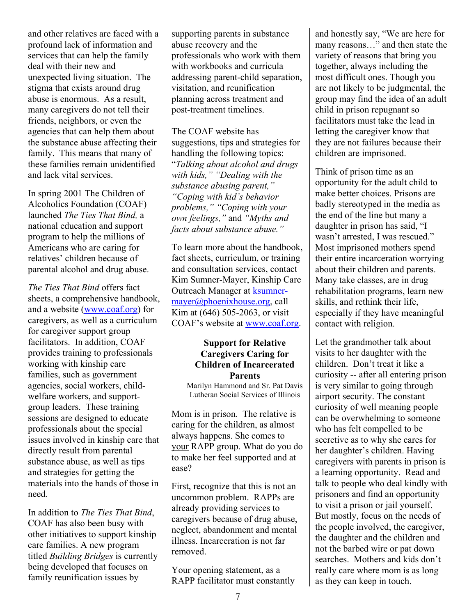and other relatives are faced with a profound lack of information and services that can help the family deal with their new and unexpected living situation. The stigma that exists around drug abuse is enormous. As a result, many caregivers do not tell their friends, neighbors, or even the agencies that can help them about the substance abuse affecting their family. This means that many of these families remain unidentified and lack vital services.

In spring 2001 The Children of Alcoholics Foundation (COAF) launched *The Ties That Bind,* a national education and support program to help the millions of Americans who are caring for relatives' children because of parental alcohol and drug abuse.

*The Ties That Bind* offers fact sheets, a comprehensive handbook, and a website (www.coaf.org) for caregivers, as well as a curriculum for caregiver support group facilitators. In addition, COAF provides training to professionals working with kinship care families, such as government agencies, social workers, childwelfare workers, and supportgroup leaders. These training sessions are designed to educate professionals about the special issues involved in kinship care that directly result from parental substance abuse, as well as tips and strategies for getting the materials into the hands of those in need.

In addition to *The Ties That Bind*, COAF has also been busy with other initiatives to support kinship care families. A new program titled *Building Bridges* is currently being developed that focuses on family reunification issues by

supporting parents in substance abuse recovery and the professionals who work with them with workbooks and curricula addressing parent-child separation, visitation, and reunification planning across treatment and post-treatment timelines.

The COAF website has suggestions, tips and strategies for handling the following topics: "*Talking about alcohol and drugs with kids," "Dealing with the substance abusing parent," "Coping with kid's behavior problems," "Coping with your own feelings,"* and *"Myths and facts about substance abuse."*

To learn more about the handbook, fact sheets, curriculum, or training and consultation services, contact Kim Sumner-Mayer, Kinship Care Outreach Manager at ksumnermayer@phoenixhouse.org, call Kim at (646) 505-2063, or visit COAF's website at www.coaf.org.

#### **Support for Relative Caregivers Caring for Children of Incarcerated Parents**

Marilyn Hammond and Sr. Pat Davis Lutheran Social Services of Illinois

Mom is in prison. The relative is caring for the children, as almost always happens. She comes to your RAPP group. What do you do to make her feel supported and at ease?

First, recognize that this is not an uncommon problem. RAPPs are already providing services to caregivers because of drug abuse, neglect, abandonment and mental illness. Incarceration is not far removed.

Your opening statement, as a RAPP facilitator must constantly and honestly say, "We are here for many reasons…" and then state the variety of reasons that bring you together, always including the most difficult ones. Though you are not likely to be judgmental, the group may find the idea of an adult child in prison repugnant so facilitators must take the lead in letting the caregiver know that they are not failures because their children are imprisoned.

Think of prison time as an opportunity for the adult child to make better choices. Prisons are badly stereotyped in the media as the end of the line but many a daughter in prison has said, "I wasn't arrested, I was rescued." Most imprisoned mothers spend their entire incarceration worrying about their children and parents. Many take classes, are in drug rehabilitation programs, learn new skills, and rethink their life, especially if they have meaningful contact with religion.

Let the grandmother talk about visits to her daughter with the children. Don't treat it like a curiosity -- after all entering prison is very similar to going through airport security. The constant curiosity of well meaning people can be overwhelming to someone who has felt compelled to be secretive as to why she cares for her daughter's children. Having caregivers with parents in prison is a learning opportunity. Read and talk to people who deal kindly with prisoners and find an opportunity to visit a prison or jail yourself. But mostly, focus on the needs of the people involved, the caregiver, the daughter and the children and not the barbed wire or pat down searches. Mothers and kids don't really care where mom is as long as they can keep in touch.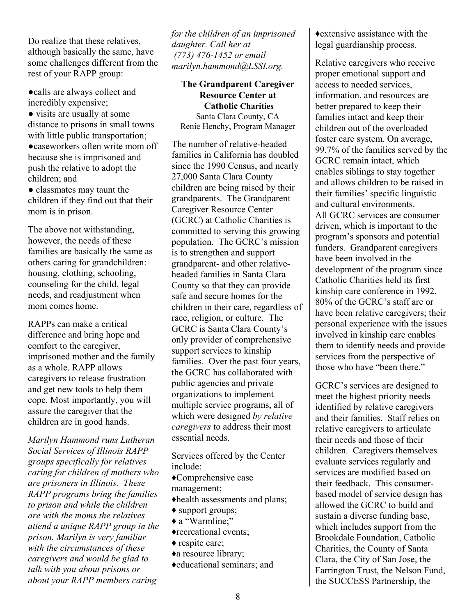Do realize that these relatives, although basically the same, have some challenges different from the rest of your RAPP group:

●calls are always collect and incredibly expensive;

● visits are usually at some distance to prisons in small towns with little public transportation; ●caseworkers often write mom off because she is imprisoned and

push the relative to adopt the children; and ● classmates may taunt the

children if they find out that their mom is in prison.

The above not withstanding, however, the needs of these families are basically the same as others caring for grandchildren: housing, clothing, schooling, counseling for the child, legal needs, and readjustment when mom comes home.

RAPPs can make a critical difference and bring hope and comfort to the caregiver, imprisoned mother and the family as a whole. RAPP allows caregivers to release frustration and get new tools to help them cope. Most importantly, you will assure the caregiver that the children are in good hands.

*Marilyn Hammond runs Lutheran Social Services of Illinois RAPP groups specifically for relatives caring for children of mothers who are prisoners in Illinois. These RAPP programs bring the families to prison and while the children are with the moms the relatives attend a unique RAPP group in the prison. Marilyn is very familiar with the circumstances of these caregivers and would be glad to talk with you about prisons or about your RAPP members caring* 

*for the children of an imprisoned daughter. Call her at (773) 476-1452 or email marilyn.hammond@LSSI.org.* 

**The Grandparent Caregiver Resource Center at Catholic Charities** Santa Clara County, CA Renie Henchy, Program Manager

The number of relative-headed families in California has doubled since the 1990 Census, and nearly 27,000 Santa Clara County children are being raised by their grandparents. The Grandparent Caregiver Resource Center (GCRC) at Catholic Charities is committed to serving this growing population. The GCRC's mission is to strengthen and support grandparent- and other relativeheaded families in Santa Clara County so that they can provide safe and secure homes for the children in their care, regardless of race, religion, or culture. The GCRC is Santa Clara County's only provider of comprehensive support services to kinship families. Over the past four years, the GCRC has collaborated with public agencies and private organizations to implement multiple service programs, all of which were designed *by relative caregivers* to address their most essential needs.

Services offered by the Center include:

♦Comprehensive case management;

- ♦health assessments and plans;
- ♦ support groups;
- ♦ a "Warmline;"
- ♦recreational events;
- ♦ respite care;
- ♦a resource library;
- ♦educational seminars; and

♦extensive assistance with the legal guardianship process.

Relative caregivers who receive proper emotional support and access to needed services, information, and resources are better prepared to keep their families intact and keep their children out of the overloaded foster care system. On average, 99.7% of the families served by the GCRC remain intact, which enables siblings to stay together and allows children to be raised in their families' specific linguistic and cultural environments. All GCRC services are consumer driven, which is important to the program's sponsors and potential funders. Grandparent caregivers have been involved in the development of the program since Catholic Charities held its first kinship care conference in 1992. 80% of the GCRC's staff are or have been relative caregivers; their personal experience with the issues involved in kinship care enables them to identify needs and provide services from the perspective of those who have "been there."

GCRC's services are designed to meet the highest priority needs identified by relative caregivers and their families. Staff relies on relative caregivers to articulate their needs and those of their children. Caregivers themselves evaluate services regularly and services are modified based on their feedback. This consumerbased model of service design has allowed the GCRC to build and sustain a diverse funding base, which includes support from the Brookdale Foundation, Catholic Charities, the County of Santa Clara, the City of San Jose, the Farrington Trust, the Nelson Fund, the SUCCESS Partnership, the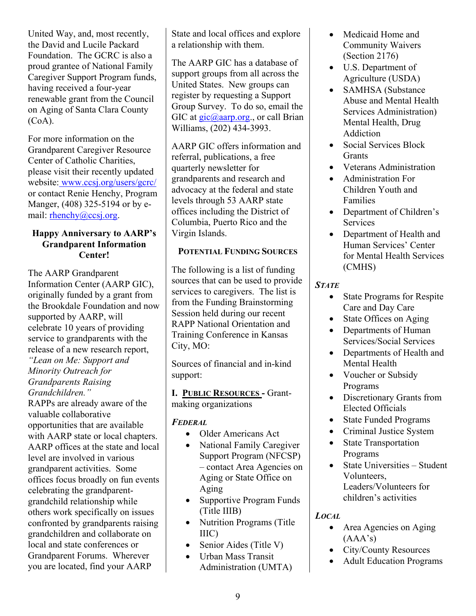United Way, and, most recently, the David and Lucile Packard Foundation. The GCRC is also a proud grantee of National Family Caregiver Support Program funds, having received a four-year renewable grant from the Council on Aging of Santa Clara County  $(CoA)$ .

For more information on the Grandparent Caregiver Resource Center of Catholic Charities, please visit their recently updated website: www.ccsj.org/users/gcrc/ or contact Renie Henchy, Program Manger, (408) 325-5194 or by email: rhenchy@ccsj.org.

#### **Happy Anniversary to AARP's Grandparent Information Center!**

The AARP Grandparent Information Center (AARP GIC), originally funded by a grant from the Brookdale Foundation and now supported by AARP, will celebrate 10 years of providing service to grandparents with the release of a new research report,

*"Lean on Me: Support and Minority Outreach for Grandparents Raising Grandchildren."* 

RAPPs are already aware of the valuable collaborative opportunities that are available with AARP state or local chapters. AARP offices at the state and local level are involved in various grandparent activities. Some offices focus broadly on fun events celebrating the grandparentgrandchild relationship while others work specifically on issues confronted by grandparents raising grandchildren and collaborate on local and state conferences or Grandparent Forums. Wherever you are located, find your AARP

State and local offices and explore a relationship with them.

The AARP GIC has a database of support groups from all across the United States. New groups can register by requesting a Support Group Survey. To do so, email the GIC at  $\text{gic}(\hat{\omega})$  aarp.org., or call Brian Williams, (202) 434-3993.

AARP GIC offers information and referral, publications, a free quarterly newsletter for grandparents and research and advocacy at the federal and state levels through 53 AARP state offices including the District of Columbia, Puerto Rico and the Virgin Islands.

#### **POTENTIAL FUNDING SOURCES**

The following is a list of funding sources that can be used to provide services to caregivers. The list is from the Funding Brainstorming Session held during our recent RAPP National Orientation and Training Conference in Kansas City, MO:

Sources of financial and in-kind support:

**I. PUBLIC RESOURCES -** Grantmaking organizations

### *FEDERAL*

- Older Americans Act
- National Family Caregiver Support Program (NFCSP) – contact Area Agencies on Aging or State Office on Aging
- Supportive Program Funds (Title IIIB)
- Nutrition Programs (Title) IIIC)
- Senior Aides (Title V)
- Urban Mass Transit Administration (UMTA)
- Medicaid Home and Community Waivers (Section 2176)
- U.S. Department of Agriculture (USDA)
- SAMHSA (Substance Abuse and Mental Health Services Administration) Mental Health, Drug Addiction
- Social Services Block **Grants**
- Veterans Administration
- Administration For Children Youth and Families
- Department of Children's Services
- Department of Health and Human Services' Center for Mental Health Services (CMHS)

#### *STATE*

- State Programs for Respite Care and Day Care
- State Offices on Aging
- Departments of Human Services/Social Services
- Departments of Health and Mental Health
- Voucher or Subsidy Programs
- Discretionary Grants from Elected Officials
- State Funded Programs
- Criminal Justice System
- State Transportation Programs
- State Universities Student Volunteers, Leaders/Volunteers for children's activities

#### *LOCAL*

- Area Agencies on Aging  $(AAA's)$
- City/County Resources
- Adult Education Programs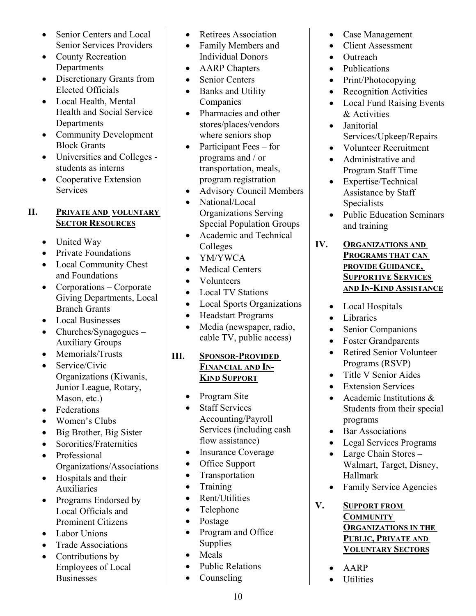- Senior Centers and Local Senior Services Providers
- County Recreation Departments
- Discretionary Grants from Elected Officials
- Local Health, Mental Health and Social Service **Departments**
- Community Development Block Grants
- Universities and Colleges students as interns
- Cooperative Extension **Services**

#### **II. PRIVATE AND VOLUNTARY SECTOR RESOURCES**

- United Way
- Private Foundations
- Local Community Chest and Foundations
- Corporations Corporate Giving Departments, Local Branch Grants
- Local Businesses
- Churches/Synagogues Auxiliary Groups
- Memorials/Trusts
- Service/Civic Organizations (Kiwanis, Junior League, Rotary, Mason, etc.)
- Federations
- Women's Clubs
- Big Brother, Big Sister
- Sororities/Fraternities
- Professional Organizations/Associations
- Hospitals and their Auxiliaries
- Programs Endorsed by Local Officials and Prominent Citizens
- Labor Unions
- Trade Associations
- Contributions by Employees of Local **Businesses**
- Retirees Association
- Family Members and Individual Donors
- AARP Chapters
- Senior Centers
- Banks and Utility Companies
- Pharmacies and other stores/places/vendors where seniors shop
- Participant Fees for programs and / or transportation, meals, program registration
- Advisory Council Members
- National/Local Organizations Serving Special Population Groups
- Academic and Technical Colleges
- YM/YWCA
- Medical Centers
- Volunteers
- Local TV Stations
- Local Sports Organizations
- Headstart Programs
- Media (newspaper, radio, cable TV, public access)
- **III. SPONSOR-PROVIDED FINANCIAL AND IN- KIND SUPPORT**
	- Program Site
	- Staff Services Accounting/Payroll Services (including cash flow assistance)
	- Insurance Coverage
	- Office Support
	- Transportation
	- Training
	- Rent/Utilities
	- Telephone
	- Postage
	- Program and Office Supplies
	- Meals
	- Public Relations
	- Counseling
- Case Management
- Client Assessment
- Outreach
- Publications
- Print/Photocopying
- Recognition Activities
- Local Fund Raising Events & Activities
- Janitorial Services/Upkeep/Repairs
- Volunteer Recruitment
- Administrative and Program Staff Time
- Expertise/Technical Assistance by Staff Specialists
- Public Education Seminars and training

**IV. ORGANIZATIONS AND PROGRAMS THAT CAN PROVIDE GUIDANCE, SUPPORTIVE SERVICES AND IN-KIND ASSISTANCE**

- Local Hospitals
- Libraries
- Senior Companions
- Foster Grandparents
- Retired Senior Volunteer Programs (RSVP)
- Title V Senior Aides
- Extension Services
- Academic Institutions & Students from their special programs
- Bar Associations
- Legal Services Programs
- Large Chain Stores Walmart, Target, Disney, Hallmark
- Family Service Agencies

#### **V. SUPPORT FROM COMMUNITY ORGANIZATIONS IN THE PUBLIC, PRIVATE AND VOLUNTARY SECTORS**

- AARP
- Utilities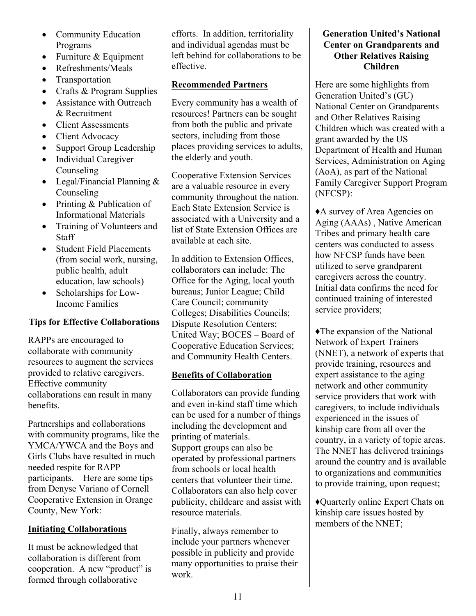- Community Education Programs
- Furniture & Equipment
- Refreshments/Meals
- Transportation
- Crafts & Program Supplies
- Assistance with Outreach & Recruitment
- Client Assessments
- Client Advocacy
- Support Group Leadership
- Individual Caregiver Counseling
- Legal/Financial Planning & Counseling
- Printing & Publication of Informational Materials
- Training of Volunteers and **Staff**
- **Student Field Placements** (from social work, nursing, public health, adult education, law schools)
- Scholarships for Low-Income Families

#### **Tips for Effective Collaborations**

RAPPs are encouraged to collaborate with community resources to augment the services provided to relative caregivers. Effective community collaborations can result in many benefits.

Partnerships and collaborations with community programs, like the YMCA/YWCA and the Boys and Girls Clubs have resulted in much needed respite for RAPP participants. Here are some tips from Denyse Variano of Cornell Cooperative Extension in Orange County, New York:

#### **Initiating Collaborations**

It must be acknowledged that collaboration is different from cooperation. A new "product" is formed through collaborative

efforts. In addition, territoriality and individual agendas must be left behind for collaborations to be effective.

#### **Recommended Partners**

Every community has a wealth of resources! Partners can be sought from both the public and private sectors, including from those places providing services to adults, the elderly and youth.

Cooperative Extension Services are a valuable resource in every community throughout the nation. Each State Extension Service is associated with a University and a list of State Extension Offices are available at each site.

In addition to Extension Offices, collaborators can include: The Office for the Aging, local youth bureaus; Junior League; Child Care Council; community Colleges; Disabilities Councils; Dispute Resolution Centers; United Way; BOCES – Board of Cooperative Education Services; and Community Health Centers.

### **Benefits of Collaboration**

Collaborators can provide funding and even in-kind staff time which can be used for a number of things including the development and printing of materials. Support groups can also be operated by professional partners from schools or local health centers that volunteer their time. Collaborators can also help cover publicity, childcare and assist with resource materials.

Finally, always remember to include your partners whenever possible in publicity and provide many opportunities to praise their work.

#### **Generation United's National Center on Grandparents and Other Relatives Raising Children**

Here are some highlights from Generation United's (GU) National Center on Grandparents and Other Relatives Raising Children which was created with a grant awarded by the US Department of Health and Human Services, Administration on Aging (AoA), as part of the National Family Caregiver Support Program (NFCSP):

♦A survey of Area Agencies on Aging (AAAs) , Native American Tribes and primary health care centers was conducted to assess how NFCSP funds have been utilized to serve grandparent caregivers across the country. Initial data confirms the need for continued training of interested service providers;

♦The expansion of the National Network of Expert Trainers (NNET), a network of experts that provide training, resources and expert assistance to the aging network and other community service providers that work with caregivers, to include individuals experienced in the issues of kinship care from all over the country, in a variety of topic areas. The NNET has delivered trainings around the country and is available to organizations and communities to provide training, upon request;

♦Quarterly online Expert Chats on kinship care issues hosted by members of the NNET;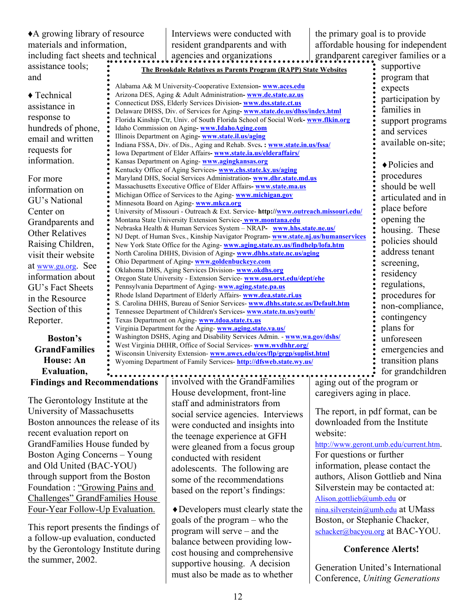| ◆ A growing library of resource<br>the primary goal is to provide<br>Interviews were conducted with<br>affordable housing for independent<br>materials and information,<br>resident grandparents and with<br>grandparent caregiver families or a<br>including fact sheets and technical<br>agencies and organizations<br>assistance tools;<br>supportive<br>The Brookdale Relatives as Parents Program (RAPP) State Websites<br>and<br>program that<br>Alabama A& M University-Cooperative Extension-www.aces.edu<br>expects<br>Arizona DES, Aging & Adult Administration-www.de.state.az.us<br>$\triangle$ Technical<br>participation by<br>Connecticut DSS, Elderly Services Division- www.dss.state.ct.us<br>assistance in<br>families in<br>Delaware DHSS, Div. of Services for Aging-www.state.de.us/dhss/index.html<br>response to<br>Florida Kinship Ctr, Univ. of South Florida School of Social Work-www.flkin.org<br>support programs<br>hundreds of phone,<br>Idaho Commission on Aging-www.IdahoAging.com<br>and services<br>Illinois Department on Aging-www.state.il.us/aging<br>email and written<br>available on-site;<br>Indiana FSSA, Div. of Dis., Aging and Rehab. Svcs.: www.state.in.us/fssa/<br>requests for<br>Iowa Department of Elder Affairs- www.state.ia.us/elderaffairs/<br>information.<br>Kansas Department on Aging-www.agingkansas.org<br>◆ Policies and<br>Kentucky Office of Aging Services-www.chs.state.ky.us/aging<br>procedures<br>Maryland DHS, Social Services Administration- www.dhr.state.md.us<br>For more<br>should be well<br>Massachusetts Executive Office of Elder Affairs-www.state.ma.us<br>information on<br>Michigan Office of Services to the Aging-www.michigan.gov<br>articulated and in<br>GU's National<br>Minnesota Board on Aging-www.mkca.org<br>place before |
|------------------------------------------------------------------------------------------------------------------------------------------------------------------------------------------------------------------------------------------------------------------------------------------------------------------------------------------------------------------------------------------------------------------------------------------------------------------------------------------------------------------------------------------------------------------------------------------------------------------------------------------------------------------------------------------------------------------------------------------------------------------------------------------------------------------------------------------------------------------------------------------------------------------------------------------------------------------------------------------------------------------------------------------------------------------------------------------------------------------------------------------------------------------------------------------------------------------------------------------------------------------------------------------------------------------------------------------------------------------------------------------------------------------------------------------------------------------------------------------------------------------------------------------------------------------------------------------------------------------------------------------------------------------------------------------------------------------------------------------------------------------------------------------------------------------------------|
|                                                                                                                                                                                                                                                                                                                                                                                                                                                                                                                                                                                                                                                                                                                                                                                                                                                                                                                                                                                                                                                                                                                                                                                                                                                                                                                                                                                                                                                                                                                                                                                                                                                                                                                                                                                                                              |
|                                                                                                                                                                                                                                                                                                                                                                                                                                                                                                                                                                                                                                                                                                                                                                                                                                                                                                                                                                                                                                                                                                                                                                                                                                                                                                                                                                                                                                                                                                                                                                                                                                                                                                                                                                                                                              |
|                                                                                                                                                                                                                                                                                                                                                                                                                                                                                                                                                                                                                                                                                                                                                                                                                                                                                                                                                                                                                                                                                                                                                                                                                                                                                                                                                                                                                                                                                                                                                                                                                                                                                                                                                                                                                              |
|                                                                                                                                                                                                                                                                                                                                                                                                                                                                                                                                                                                                                                                                                                                                                                                                                                                                                                                                                                                                                                                                                                                                                                                                                                                                                                                                                                                                                                                                                                                                                                                                                                                                                                                                                                                                                              |
|                                                                                                                                                                                                                                                                                                                                                                                                                                                                                                                                                                                                                                                                                                                                                                                                                                                                                                                                                                                                                                                                                                                                                                                                                                                                                                                                                                                                                                                                                                                                                                                                                                                                                                                                                                                                                              |
|                                                                                                                                                                                                                                                                                                                                                                                                                                                                                                                                                                                                                                                                                                                                                                                                                                                                                                                                                                                                                                                                                                                                                                                                                                                                                                                                                                                                                                                                                                                                                                                                                                                                                                                                                                                                                              |
|                                                                                                                                                                                                                                                                                                                                                                                                                                                                                                                                                                                                                                                                                                                                                                                                                                                                                                                                                                                                                                                                                                                                                                                                                                                                                                                                                                                                                                                                                                                                                                                                                                                                                                                                                                                                                              |
|                                                                                                                                                                                                                                                                                                                                                                                                                                                                                                                                                                                                                                                                                                                                                                                                                                                                                                                                                                                                                                                                                                                                                                                                                                                                                                                                                                                                                                                                                                                                                                                                                                                                                                                                                                                                                              |
|                                                                                                                                                                                                                                                                                                                                                                                                                                                                                                                                                                                                                                                                                                                                                                                                                                                                                                                                                                                                                                                                                                                                                                                                                                                                                                                                                                                                                                                                                                                                                                                                                                                                                                                                                                                                                              |
|                                                                                                                                                                                                                                                                                                                                                                                                                                                                                                                                                                                                                                                                                                                                                                                                                                                                                                                                                                                                                                                                                                                                                                                                                                                                                                                                                                                                                                                                                                                                                                                                                                                                                                                                                                                                                              |
|                                                                                                                                                                                                                                                                                                                                                                                                                                                                                                                                                                                                                                                                                                                                                                                                                                                                                                                                                                                                                                                                                                                                                                                                                                                                                                                                                                                                                                                                                                                                                                                                                                                                                                                                                                                                                              |
|                                                                                                                                                                                                                                                                                                                                                                                                                                                                                                                                                                                                                                                                                                                                                                                                                                                                                                                                                                                                                                                                                                                                                                                                                                                                                                                                                                                                                                                                                                                                                                                                                                                                                                                                                                                                                              |
|                                                                                                                                                                                                                                                                                                                                                                                                                                                                                                                                                                                                                                                                                                                                                                                                                                                                                                                                                                                                                                                                                                                                                                                                                                                                                                                                                                                                                                                                                                                                                                                                                                                                                                                                                                                                                              |
|                                                                                                                                                                                                                                                                                                                                                                                                                                                                                                                                                                                                                                                                                                                                                                                                                                                                                                                                                                                                                                                                                                                                                                                                                                                                                                                                                                                                                                                                                                                                                                                                                                                                                                                                                                                                                              |
|                                                                                                                                                                                                                                                                                                                                                                                                                                                                                                                                                                                                                                                                                                                                                                                                                                                                                                                                                                                                                                                                                                                                                                                                                                                                                                                                                                                                                                                                                                                                                                                                                                                                                                                                                                                                                              |
|                                                                                                                                                                                                                                                                                                                                                                                                                                                                                                                                                                                                                                                                                                                                                                                                                                                                                                                                                                                                                                                                                                                                                                                                                                                                                                                                                                                                                                                                                                                                                                                                                                                                                                                                                                                                                              |
|                                                                                                                                                                                                                                                                                                                                                                                                                                                                                                                                                                                                                                                                                                                                                                                                                                                                                                                                                                                                                                                                                                                                                                                                                                                                                                                                                                                                                                                                                                                                                                                                                                                                                                                                                                                                                              |
|                                                                                                                                                                                                                                                                                                                                                                                                                                                                                                                                                                                                                                                                                                                                                                                                                                                                                                                                                                                                                                                                                                                                                                                                                                                                                                                                                                                                                                                                                                                                                                                                                                                                                                                                                                                                                              |
| University of Missouri - Outreach & Ext. Service-http://www.outreach.missouri.edu/<br>Center on                                                                                                                                                                                                                                                                                                                                                                                                                                                                                                                                                                                                                                                                                                                                                                                                                                                                                                                                                                                                                                                                                                                                                                                                                                                                                                                                                                                                                                                                                                                                                                                                                                                                                                                              |
| opening the<br>Montana State University Extension Service-www.montana.edu<br>Grandparents and                                                                                                                                                                                                                                                                                                                                                                                                                                                                                                                                                                                                                                                                                                                                                                                                                                                                                                                                                                                                                                                                                                                                                                                                                                                                                                                                                                                                                                                                                                                                                                                                                                                                                                                                |
| Nebraska Health & Human Services System - NRAP- www.hhs.state.ne.us/<br>housing. These<br><b>Other Relatives</b>                                                                                                                                                                                                                                                                                                                                                                                                                                                                                                                                                                                                                                                                                                                                                                                                                                                                                                                                                                                                                                                                                                                                                                                                                                                                                                                                                                                                                                                                                                                                                                                                                                                                                                             |
| NJ Dept. of Human Svcs., Kinship Navigator Program- www.state.nj.us/humanservices<br>policies should<br>Raising Children,<br>New York State Office for the Aging-www.aging.state.ny.us/findhelp/lofa.htm                                                                                                                                                                                                                                                                                                                                                                                                                                                                                                                                                                                                                                                                                                                                                                                                                                                                                                                                                                                                                                                                                                                                                                                                                                                                                                                                                                                                                                                                                                                                                                                                                     |
| address tenant<br>North Carolina DHHS, Division of Aging-www.dhhs.state.nc.us/aging<br>visit their website                                                                                                                                                                                                                                                                                                                                                                                                                                                                                                                                                                                                                                                                                                                                                                                                                                                                                                                                                                                                                                                                                                                                                                                                                                                                                                                                                                                                                                                                                                                                                                                                                                                                                                                   |
| Ohio Department of Aging-www.goldenbuckeye.com<br>screening,                                                                                                                                                                                                                                                                                                                                                                                                                                                                                                                                                                                                                                                                                                                                                                                                                                                                                                                                                                                                                                                                                                                                                                                                                                                                                                                                                                                                                                                                                                                                                                                                                                                                                                                                                                 |
| at www.gu.org. See<br>Oklahoma DHS, Aging Services Division- www.okdhs.org<br>residency                                                                                                                                                                                                                                                                                                                                                                                                                                                                                                                                                                                                                                                                                                                                                                                                                                                                                                                                                                                                                                                                                                                                                                                                                                                                                                                                                                                                                                                                                                                                                                                                                                                                                                                                      |
| information about<br>Oregon State University - Extension Service- www.osu.orst.edu/dept/ehe                                                                                                                                                                                                                                                                                                                                                                                                                                                                                                                                                                                                                                                                                                                                                                                                                                                                                                                                                                                                                                                                                                                                                                                                                                                                                                                                                                                                                                                                                                                                                                                                                                                                                                                                  |
| regulations,<br>Pennsylvania Department of Aging-www.aging.state.pa.us<br>GU's Fact Sheets                                                                                                                                                                                                                                                                                                                                                                                                                                                                                                                                                                                                                                                                                                                                                                                                                                                                                                                                                                                                                                                                                                                                                                                                                                                                                                                                                                                                                                                                                                                                                                                                                                                                                                                                   |
| Rhode Island Department of Elderly Affairs-www.dea.state.ri.us<br>procedures for<br>in the Resource<br>S. Carolina DHHS, Bureau of Senior Services- www.dhhs.state.sc.us/Default.htm                                                                                                                                                                                                                                                                                                                                                                                                                                                                                                                                                                                                                                                                                                                                                                                                                                                                                                                                                                                                                                                                                                                                                                                                                                                                                                                                                                                                                                                                                                                                                                                                                                         |
| non-compliance,<br>Section of this<br>Tennessee Department of Children's Services- www.state.tn.us/youth/                                                                                                                                                                                                                                                                                                                                                                                                                                                                                                                                                                                                                                                                                                                                                                                                                                                                                                                                                                                                                                                                                                                                                                                                                                                                                                                                                                                                                                                                                                                                                                                                                                                                                                                    |
| contingency<br>Reporter.<br>Texas Department on Aging-www.tdoa.state.tx.us                                                                                                                                                                                                                                                                                                                                                                                                                                                                                                                                                                                                                                                                                                                                                                                                                                                                                                                                                                                                                                                                                                                                                                                                                                                                                                                                                                                                                                                                                                                                                                                                                                                                                                                                                   |
| plans for<br>Virginia Department for the Aging-www.aging.state.va.us/                                                                                                                                                                                                                                                                                                                                                                                                                                                                                                                                                                                                                                                                                                                                                                                                                                                                                                                                                                                                                                                                                                                                                                                                                                                                                                                                                                                                                                                                                                                                                                                                                                                                                                                                                        |
| Washington DSHS, Aging and Disability Services Admin. - www.wa.gov/dshs/<br><b>Boston's</b><br>unforeseen                                                                                                                                                                                                                                                                                                                                                                                                                                                                                                                                                                                                                                                                                                                                                                                                                                                                                                                                                                                                                                                                                                                                                                                                                                                                                                                                                                                                                                                                                                                                                                                                                                                                                                                    |
| West Virginia DHHR, Office of Social Services- www.wvdhhr.org/<br><b>GrandFamilies</b><br>emergencies and                                                                                                                                                                                                                                                                                                                                                                                                                                                                                                                                                                                                                                                                                                                                                                                                                                                                                                                                                                                                                                                                                                                                                                                                                                                                                                                                                                                                                                                                                                                                                                                                                                                                                                                    |
| Wisconsin University Extension-www.uwex.edu/ces/flp/grgp/suplist.html<br><b>House: An</b><br>transition plans<br>Wyoming Department of Family Services- http://dfsweb.state.wy.us/                                                                                                                                                                                                                                                                                                                                                                                                                                                                                                                                                                                                                                                                                                                                                                                                                                                                                                                                                                                                                                                                                                                                                                                                                                                                                                                                                                                                                                                                                                                                                                                                                                           |
| Evaluation,<br>for grandchildren                                                                                                                                                                                                                                                                                                                                                                                                                                                                                                                                                                                                                                                                                                                                                                                                                                                                                                                                                                                                                                                                                                                                                                                                                                                                                                                                                                                                                                                                                                                                                                                                                                                                                                                                                                                             |
| involved with the GrandFamilies<br><b>Findings and Recommendations</b><br>aging out of the program or                                                                                                                                                                                                                                                                                                                                                                                                                                                                                                                                                                                                                                                                                                                                                                                                                                                                                                                                                                                                                                                                                                                                                                                                                                                                                                                                                                                                                                                                                                                                                                                                                                                                                                                        |

The Gerontology Institute at the University of Massachusetts Boston announces the release of its recent evaluation report on GrandFamilies House funded by Boston Aging Concerns – Young and Old United (BAC-YOU) through support from the Boston Foundation : "Growing Pains and Challenges" GrandFamilies House Four-Year Follow-Up Evaluation.

This report presents the findings of a follow-up evaluation, conducted by the Gerontology Institute during the summer, 2002.

involved with the GrandFamilies House development, front-line staff and administrators from social service agencies. Interviews were conducted and insights into the teenage experience at GFH were gleaned from a focus group conducted with resident adolescents. The following are some of the recommendations based on the report's findings:

♦Developers must clearly state the goals of the program – who the program will serve – and the balance between providing lowcost housing and comprehensive supportive housing. A decision must also be made as to whether

aging out of the program or caregivers aging in place.

The report, in pdf format, can be downloaded from the Institute website:

http://www.geront.umb.edu/current.htm. For questions or further information, please contact the authors, Alison Gottlieb and Nina Silverstein may be contacted at: Alison.gottlieb@umb.edu or nina.silverstein@umb.edu at UMass Boston, or Stephanie Chacker, schacker@bacyou.org at BAC-YOU.

#### **Conference Alerts!**

Generation United's International Conference, *Uniting Generations*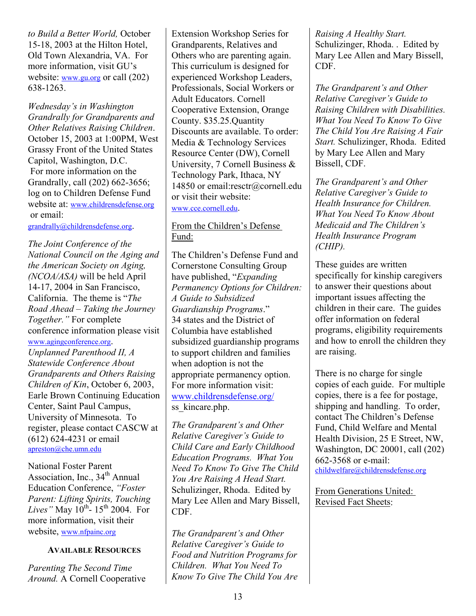*to Build a Better World,* October 15-18, 2003 at the Hilton Hotel, Old Town Alexandria, VA. For more information, visit GU's website: www.gu.org or call (202) 638-1263.

*Wednesday's in Washington Grandrally for Grandparents and Other Relatives Raising Children*. October 15, 2003 at 1:00PM, West Grassy Front of the United States Capitol, Washington, D.C. For more information on the Grandrally, call (202) 662-3656; log on to Children Defense Fund website at: www.childrensdefense.org or email:

grandrally@childrensdefense.org.

*The Joint Conference of the National Council on the Aging and the American Society on Aging, (NCOA/ASA)* will be held April 14-17, 2004 in San Francisco, California. The theme is "*The Road Ahead – Taking the Journey Together."* For complete conference information please visit www.agingconference.org. *Unplanned Parenthood II, A Statewide Conference About Grandparents and Others Raising Children of Kin*, October 6, 2003, Earle Brown Continuing Education Center, Saint Paul Campus, University of Minnesota. To register, please contact CASCW at (612) 624-4231 or email apreston@che.umn.edu

National Foster Parent Association, Inc.,  $34<sup>th</sup>$  Annual Education Conference, *"Foster Parent: Lifting Spirits, Touching Lives*" May  $10^{th}$ -  $15^{th}$  2004. For more information, visit their website, www.nfpainc.org

#### **AVAILABLE RESOURCES**

*Parenting The Second Time Around.* A Cornell Cooperative Extension Workshop Series for Grandparents, Relatives and Others who are parenting again. This curriculum is designed for experienced Workshop Leaders, Professionals, Social Workers or Adult Educators. Cornell Cooperative Extension, Orange County. \$35.25.Quantity Discounts are available. To order: Media & Technology Services Resource Center (DW), Cornell University, 7 Cornell Business & Technology Park, Ithaca, NY 14850 or email:resctr@cornell.edu or visit their website: www.cce.cornell.edu.

#### From the Children's Defense Fund:

The Children's Defense Fund and Cornerstone Consulting Group have published, "*Expanding Permanency Options for Children: A Guide to Subsidized Guardianship Programs*." 34 states and the District of Columbia have established subsidized guardianship programs to support children and families when adoption is not the appropriate permanency option. For more information visit: www.childrensdefense.org/ ss kincare.php.

*The Grandparent's and Other Relative Caregiver's Guide to Child Care and Early Childhood Education Programs. What You Need To Know To Give The Child You Are Raising A Head Start.*  Schulizinger, Rhoda. Edited by Mary Lee Allen and Mary Bissell, CDF.

*The Grandparent's and Other Relative Caregiver's Guide to Food and Nutrition Programs for Children. What You Need To Know To Give The Child You Are*  *Raising A Healthy Start.*  Schulizinger, Rhoda. . Edited by Mary Lee Allen and Mary Bissell, CDF.

*The Grandparent's and Other Relative Caregiver's Guide to Raising Children with Disabilities. What You Need To Know To Give The Child You Are Raising A Fair Start.* Schulizinger, Rhoda. Edited by Mary Lee Allen and Mary Bissell, CDF.

*The Grandparent's and Other Relative Caregiver's Guide to Health Insurance for Children. What You Need To Know About Medicaid and The Children's Health Insurance Program (CHIP).* 

These guides are written specifically for kinship caregivers to answer their questions about important issues affecting the children in their care. The guides offer information on federal programs, eligibility requirements and how to enroll the children they are raising.

There is no charge for single copies of each guide. For multiple copies, there is a fee for postage, shipping and handling. To order, contact The Children's Defense Fund, Child Welfare and Mental Health Division, 25 E Street, NW, Washington, DC 20001, call (202) 662-3568 or e-mail: childwelfare@childrensdefense.org

From Generations United: Revised Fact Sheets: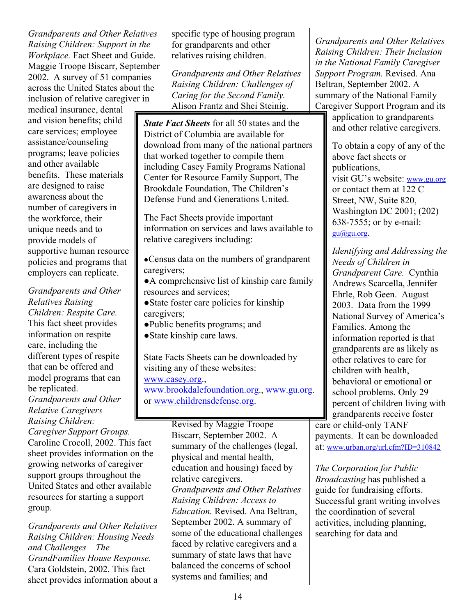*Grandparents and Other Relatives Raising Children: Support in the Workplace.* Fact Sheet and Guide. Maggie Troope Biscarr, September 2002. A survey of 51 companies across the United States about the inclusion of relative caregiver in

medical insurance, dental and vision benefits; child care services; employee assistance/counseling programs; leave policies and other available benefits. These materials are designed to raise awareness about the number of caregivers in the workforce, their unique needs and to provide models of supportive human resource policies and programs that employers can replicate.

*Grandparents and Other Relatives Raising Children: Respite Care.*  This fact sheet provides information on respite care, including the different types of respite that can be offered and model programs that can be replicated. *Grandparents and Other Relative Caregivers Raising Children:* 

*Caregiver Support Groups.*  Caroline Crocoll, 2002. This fact sheet provides information on the growing networks of caregiver support groups throughout the United States and other available resources for starting a support group.

*Grandparents and Other Relatives Raising Children: Housing Needs and Challenges – The GrandFamilies House Response.*  Cara Goldstein, 2002. This fact sheet provides information about a specific type of housing program for grandparents and other relatives raising children.

*Grandparents and Other Relatives Raising Children: Challenges of Caring for the Second Family.*  Alison Frantz and Shei Steinig.

*State Fact Sheets* for all 50 states and the District of Columbia are available for download from many of the national partners that worked together to compile them including Casey Family Programs National Center for Resource Family Support, The Brookdale Foundation, The Children's Defense Fund and Generations United.

The Fact Sheets provide important information on services and laws available to relative caregivers including:

●Census data on the numbers of grandparent caregivers;

●A comprehensive list of kinship care family resources and services;

- ●State foster care policies for kinship caregivers;
- ●Public benefits programs; and ●State kinship care laws.

State Facts Sheets can be downloaded by visiting any of these websites:

www.casey.org.,

www.brookdalefoundation.org., www.gu.org. or www.childrensdefense.org.

> Revised by Maggie Troope Biscarr, September 2002. A summary of the challenges (legal, physical and mental health, education and housing) faced by relative caregivers. *Grandparents and Other Relatives Raising Children: Access to Education.* Revised. Ana Beltran, September 2002. A summary of some of the educational challenges faced by relative caregivers and a summary of state laws that have balanced the concerns of school systems and families; and

*Grandparents and Other Relatives Raising Children: Their Inclusion in the National Family Caregiver Support Program.* Revised. Ana Beltran, September 2002. A summary of the National Family Caregiver Support Program and its

application to grandparents and other relative caregivers.

To obtain a copy of any of the above fact sheets or publications, visit GU's website: www.gu.org or contact them at 122 C Street, NW, Suite 820, Washington DC 2001; (202) 638-7555; or by e-mail: gu@gu.org.

*Identifying and Addressing the Needs of Children in Grandparent Care.* Cynthia Andrews Scarcella, Jennifer Ehrle, Rob Geen. August 2003. Data from the 1999 National Survey of America's Families. Among the information reported is that grandparents are as likely as other relatives to care for children with health, behavioral or emotional or school problems. Only 29 percent of children living with grandparents receive foster care or child-only TANF payments. It can be downloaded

at: www.urban.org/url.cfm?ID=310842

*The Corporation for Public Broadcasting* has published a guide for fundraising efforts. Successful grant writing involves the coordination of several activities, including planning, searching for data and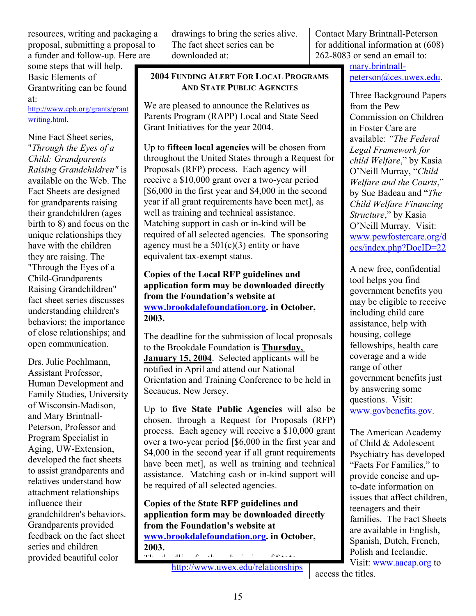resources, writing and packaging a proposal, submitting a proposal to a funder and follow-up. Here are

some steps that will help. Basic Elements of Grantwriting can be found at:

http://www.cpb.org/grants/grant writing.html.

Nine Fact Sheet series, "*Through the Eyes of a Child: Grandparents Raising Grandchildren"* is available on the Web. The Fact Sheets are designed for grandparents raising their grandchildren (ages birth to 8) and focus on the unique relationships they have with the children they are raising. The "Through the Eyes of a Child-Grandparents Raising Grandchildren" fact sheet series discusses understanding children's behaviors; the importance of close relationships; and open communication.

Drs. Julie Poehlmann, Assistant Professor, Human Development and Family Studies, University of Wisconsin-Madison, and Mary Brintnall-Peterson, Professor and Program Specialist in Aging, UW-Extension, developed the fact sheets to assist grandparents and relatives understand how attachment relationships influence their grandchildren's behaviors. Grandparents provided feedback on the fact sheet series and children provided beautiful color

drawings to bring the series alive. The fact sheet series can be downloaded at:

#### **2004 FUNDING ALERT FOR LOCAL PROGRAMS AND STATE PUBLIC AGENCIES**

We are pleased to announce the Relatives as Parents Program (RAPP) Local and State Seed Grant Initiatives for the year 2004.

Up to **fifteen local agencies** will be chosen from throughout the United States through a Request for Proposals (RFP) process. Each agency will receive a \$10,000 grant over a two-year period [\$6,000 in the first year and \$4,000 in the second year if all grant requirements have been met], as well as training and technical assistance. Matching support in cash or in-kind will be required of all selected agencies. The sponsoring agency must be a  $501(c)(3)$  entity or have equivalent tax-exempt status.

#### **Copies of the Local RFP guidelines and application form may be downloaded directly from the Foundation's website at www.brookdalefoundation.org. in October, 2003.**

The deadline for the submission of local proposals to the Brookdale Foundation is **Thursday, January 15, 2004**. Selected applicants will be notified in April and attend our National Orientation and Training Conference to be held in Secaucus, New Jersey.

Up to **five State Public Agencies** will also be chosen. through a Request for Proposals (RFP) process. Each agency will receive a \$10,000 grant over a two-year period [\$6,000 in the first year and \$4,000 in the second year if all grant requirements have been met], as well as training and technical assistance. Matching cash or in-kind support will be required of all selected agencies.

**Copies of the State RFP guidelines and application form may be downloaded directly from the Foundation's website at www.brookdalefoundation.org. in October,**   $2003.$ Th d dli f th b i i f **State**

http://www.uwex.edu/relationships

Contact Mary Brintnall-Peterson for additional information at (608) 262-8083 or send an email to:

> mary.brintnallpeterson@ces.uwex.edu.

Three Background Papers from the Pew Commission on Children in Foster Care are available: *"The Federal Legal Framework for child Welfare*," by Kasia O'Neill Murray, "*Child Welfare and the Courts*," by Sue Badeau and "*The Child Welfare Financing Structure*," by Kasia O'Neill Murray. Visit: www.pewfostercare.org/d ocs/index.php?DocID=22

A new free, confidential tool helps you find government benefits you may be eligible to receive including child care assistance, help with housing, college fellowships, health care coverage and a wide range of other government benefits just by answering some questions. Visit: www.govbenefits.gov.

The American Academy of Child & Adolescent Psychiatry has developed "Facts For Families," to provide concise and upto-date information on issues that affect children, teenagers and their families. The Fact Sheets are available in English, Spanish, Dutch, French, Polish and Icelandic. Visit: www.aacap.org to

access the titles.